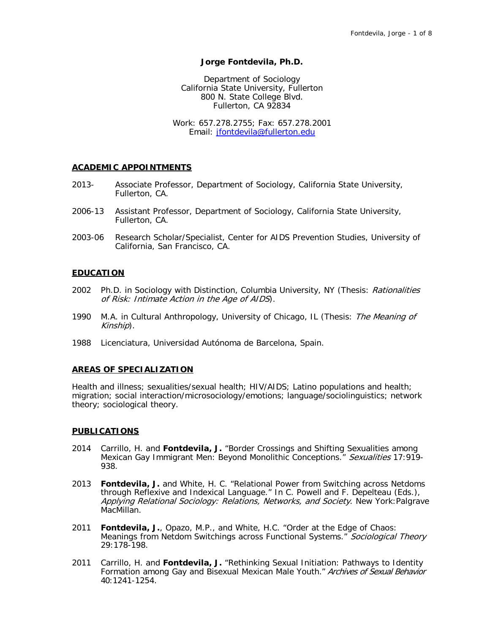### **Jorge Fontdevila, Ph.D.**

Department of Sociology California State University, Fullerton 800 N. State College Blvd. Fullerton, CA 92834

Work: 657.278.2755; Fax: 657.278.2001 Email: [jfontdevila@fullerton.edu](mailto:jfontdevila@fullerton.edu)

#### **ACADEMIC APPOINTMENTS**

- 2013- Associate Professor, Department of Sociology, California State University, Fullerton, CA.
- 2006-13 Assistant Professor, Department of Sociology, California State University, Fullerton, CA.
- 2003-06 Research Scholar/Specialist, Center for AIDS Prevention Studies, University of California, San Francisco, CA.

## **EDUCATION**

- 2002 Ph.D. in Sociology with Distinction, Columbia University, NY (Thesis: Rationalities of Risk: Intimate Action in the Age of AIDS).
- 1990 M.A. in Cultural Anthropology, University of Chicago, IL (Thesis: The Meaning of Kinship).
- 1988 Licenciatura, Universidad Autónoma de Barcelona, Spain.

#### **AREAS OF SPECIALIZATION**

Health and illness; sexualities/sexual health; HIV/AIDS; Latino populations and health; migration; social interaction/microsociology/emotions; language/sociolinguistics; network theory; sociological theory.

#### **PUBLICATIONS**

- 2014 Carrillo, H. and **Fontdevila, J.** "Border Crossings and Shifting Sexualities among Mexican Gay Immigrant Men: Beyond Monolithic Conceptions." Sexualities 17:919-938.
- 2013 **Fontdevila, J.** and White, H. C. "Relational Power from Switching across Netdoms through Reflexive and Indexical Language." In C. Powell and F. Depelteau (Eds.), Applying Relational Sociology: Relations, Networks, and Society. New York: Palgrave MacMillan.
- 2011 **Fontdevila, J.**, Opazo, M.P., and White, H.C. "Order at the Edge of Chaos: Meanings from Netdom Switchings across Functional Systems." Sociological Theory 29:178-198.
- 2011 Carrillo, H. and **Fontdevila, J.** "Rethinking Sexual Initiation: Pathways to Identity Formation among Gay and Bisexual Mexican Male Youth." Archives of Sexual Behavior 40:1241-1254.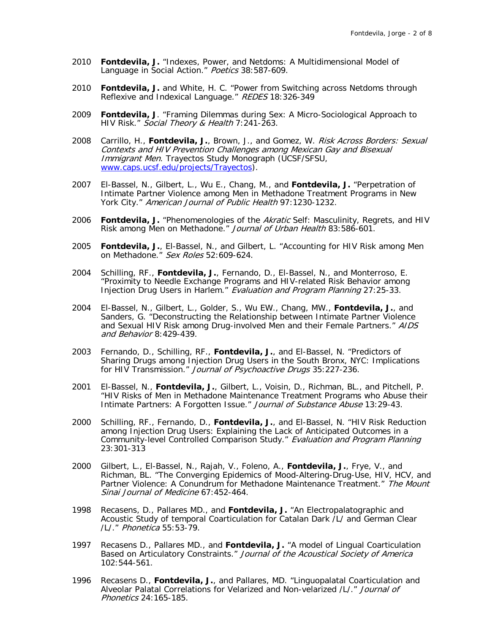- 2010 **Fontdevila, J.** "Indexes, Power, and Netdoms: A Multidimensional Model of Language in Social Action." Poetics 38:587-609.
- 2010 **Fontdevila, J.** and White, H. C. "Power from Switching across Netdoms through Reflexive and Indexical Language." REDES 18:326-349
- 2009 **Fontdevila, J**. "Framing Dilemmas during Sex: A Micro-Sociological Approach to HIV Risk." Social Theory & Health 7:241-263.
- 2008 Carrillo, H., **Fontdevila, J.**, Brown, J., and Gomez, W. Risk Across Borders: Sexual Contexts and HIV Prevention Challenges among Mexican Gay and Bisexual Immigrant Men. Trayectos Study Monograph (UCSF/SFSU, [www.caps.ucsf.edu/projects/Trayectos\)](http://www.caps.ucsf.edu/projects/Trayectos).
- 2007 El-Bassel, N., Gilbert, L., Wu E., Chang, M., and **Fontdevila, J.** "Perpetration of Intimate Partner Violence among Men in Methadone Treatment Programs in New York City." American Journal of Public Health 97:1230-1232.
- 2006 **Fontdevila, J.** "Phenomenologies of the Akratic Self: Masculinity, Regrets, and HIV Risk among Men on Methadone." Journal of Urban Health 83:586-601.
- 2005 **Fontdevila, J.**, El-Bassel, N., and Gilbert, L. "Accounting for HIV Risk among Men on Methadone." Sex Roles 52:609-624.
- 2004 Schilling, RF., **Fontdevila, J.**, Fernando, D., El-Bassel, N., and Monterroso, E. "Proximity to Needle Exchange Programs and HIV-related Risk Behavior among Injection Drug Users in Harlem." Evaluation and Program Planning 27:25-33.
- 2004 El-Bassel, N., Gilbert, L., Golder, S., Wu EW., Chang, MW., **Fontdevila, J.**, and Sanders, G. "Deconstructing the Relationship between Intimate Partner Violence and Sexual HIV Risk among Drug-involved Men and their Female Partners." AIDS and Behavior 8:429-439.
- 2003 Fernando, D., Schilling, RF., **Fontdevila, J.**, and El-Bassel, N. "Predictors of Sharing Drugs among Injection Drug Users in the South Bronx, NYC: Implications for HIV Transmission." Journal of Psychoactive Drugs 35:227-236.
- 2001 El-Bassel, N., **Fontdevila, J.**, Gilbert, L., Voisin, D., Richman, BL., and Pitchell, P. "HIV Risks of Men in Methadone Maintenance Treatment Programs who Abuse their Intimate Partners: A Forgotten Issue." Journal of Substance Abuse 13:29-43.
- 2000 Schilling, RF., Fernando, D., **Fontdevila, J.**, and El-Bassel, N. "HIV Risk Reduction among Injection Drug Users: Explaining the Lack of Anticipated Outcomes in a Community-level Controlled Comparison Study." Evaluation and Program Planning 23:301-313
- 2000 Gilbert, L., El-Bassel, N., Rajah, V., Foleno, A., **Fontdevila, J.**, Frye, V., and Richman, BL. "The Converging Epidemics of Mood-Altering-Drug-Use, HIV, HCV, and Partner Violence: A Conundrum for Methadone Maintenance Treatment." The Mount Sinai Journal of Medicine 67:452-464.
- 1998 Recasens, D., Pallares MD., and **Fontdevila, J.** "An Electropalatographic and Acoustic Study of temporal Coarticulation for Catalan Dark /L/ and German Clear /L/." Phonetica 55:53-79.
- 1997 Recasens D., Pallares MD., and **Fontdevila, J.** "A model of Lingual Coarticulation Based on Articulatory Constraints." Journal of the Acoustical Society of America 102:544-561.
- 1996 Recasens D., **Fontdevila, J.**, and Pallares, MD. "Linguopalatal Coarticulation and Alveolar Palatal Correlations for Velarized and Non-velarized /L/." Journal of Phonetics 24:165-185.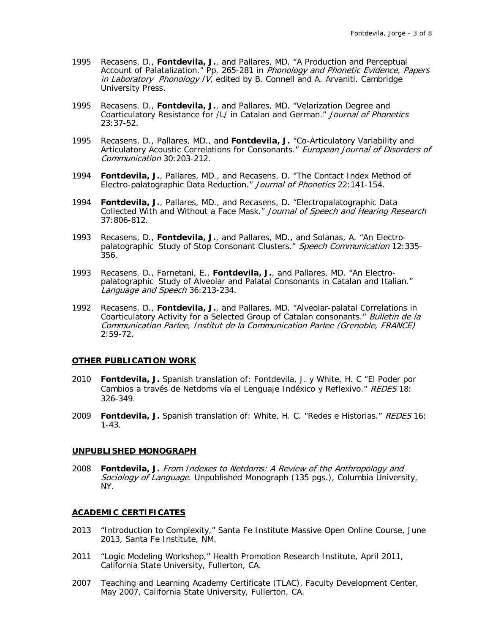- 1995 Recasens, D., **Fontdevila, J.**, and Pallares, MD. "A Production and Perceptual Account of Palatalization." Pp. 265-281 in Phonology and Phonetic Evidence, Papers in Laboratory Phonology  $IV<sub>i</sub>$  edited by B. Connell and A. Arvaniti. Cambridge University Press.
- 1995 Recasens, D., **Fontdevila, J.**, and Pallares, MD. "Velarization Degree and Coarticulatory Resistance for /L/ in Catalan and German." Journal of Phonetics 23:37-52.
- 1995 Recasens, D., Pallares, MD., and **Fontdevila, J.** "Co-Articulatory Variability and Articulatory Acoustic Correlations for Consonants." European Journal of Disorders of Communication 30:203-212.
- 1994 **Fontdevila, J.**, Pallares, MD., and Recasens, D. "The Contact Index Method of Electro-palatographic Data Reduction." Journal of Phonetics 22:141-154.
- 1994 **Fontdevila, J.**, Pallares, MD., and Recasens, D. "Electropalatographic Data Collected With and Without a Face Mask." Journal of Speech and Hearing Research 37:806-812.
- 1993 Recasens, D., **Fontdevila, J.**, and Pallares, MD., and Solanas, A. "An Electropalatographic Study of Stop Consonant Clusters." Speech Communication 12:335-356.
- 1993 Recasens, D., Farnetani, E., **Fontdevila, J.**, and Pallares, MD. "An Electropalatographic Study of Alveolar and Palatal Consonants in Catalan and Italian." Language and Speech 36:213-234.
- 1992 Recasens, D., **Fontdevila, J.**, and Pallares, MD. "Alveolar-palatal Correlations in Coarticulatory Activity for a Selected Group of Catalan consonants." Bulletin de la Communication Parlee, Institut de la Communication Parlee (Grenoble, FRANCE) 2:59-72.

## **OTHER PUBLICATION WORK**

- 2010 **Fontdevila, J.** Spanish translation of: Fontdevila, J. y White, H. C "El Poder por Cambios a través de Netdoms vía el Lenguaje Indéxico y Reflexivo." REDES 18: 326-349.
- 2009 **Fontdevila, J.** Spanish translation of: White, H. C. "Redes e Historias." REDES 16: 1-43.

#### **UNPUBLISHED MONOGRAPH**

2008 **Fontdevila, J.** From Indexes to Netdoms: A Review of the Anthropology and Sociology of Language. Unpublished Monograph (135 pgs.), Columbia University, NY.

#### **ACADEMIC CERTIFICATES**

- 2013 "Introduction to Complexity," Santa Fe Institute Massive Open Online Course, June 2013, Santa Fe Institute, NM.
- 2011 "Logic Modeling Workshop," Health Promotion Research Institute, April 2011, California State University, Fullerton, CA.
- 2007 Teaching and Learning Academy Certificate (TLAC), Faculty Development Center, May 2007, California State University, Fullerton, CA.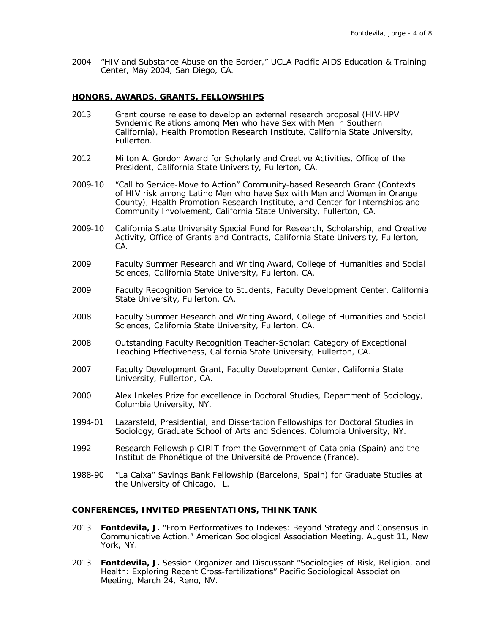2004 "HIV and Substance Abuse on the Border," UCLA Pacific AIDS Education & Training Center, May 2004, San Diego, CA.

### **HONORS, AWARDS, GRANTS, FELLOWSHIPS**

- 2013 Grant course release to develop an external research proposal (HIV-HPV Syndemic Relations among Men who have Sex with Men in Southern California), Health Promotion Research Institute, California State University, Fullerton.
- 2012 Milton A. Gordon Award for Scholarly and Creative Activities, Office of the President, California State University, Fullerton, CA.
- 2009-10 "Call to Service-Move to Action" Community-based Research Grant (Contexts of HIV risk among Latino Men who have Sex with Men and Women in Orange County), Health Promotion Research Institute, and Center for Internships and Community Involvement, California State University, Fullerton, CA.
- 2009-10 California State University Special Fund for Research, Scholarship, and Creative Activity, Office of Grants and Contracts, California State University, Fullerton, CA.
- 2009 Faculty Summer Research and Writing Award, College of Humanities and Social Sciences, California State University, Fullerton, CA.
- 2009 Faculty Recognition Service to Students, Faculty Development Center, California State University, Fullerton, CA.
- 2008 Faculty Summer Research and Writing Award, College of Humanities and Social Sciences, California State University, Fullerton, CA.
- 2008 Outstanding Faculty Recognition Teacher-Scholar: Category of Exceptional Teaching Effectiveness, California State University, Fullerton, CA.
- 2007 Faculty Development Grant, Faculty Development Center, California State University, Fullerton, CA.
- 2000 Alex Inkeles Prize for excellence in Doctoral Studies, Department of Sociology, Columbia University, NY.
- 1994-01 Lazarsfeld, Presidential, and Dissertation Fellowships for Doctoral Studies in Sociology, Graduate School of Arts and Sciences, Columbia University, NY.
- 1992 Research Fellowship CIRIT from the Government of Catalonia (Spain) and the Institut de Phonétique of the Université de Provence (France).
- 1988-90 "La Caixa" Savings Bank Fellowship (Barcelona, Spain) for Graduate Studies at the University of Chicago, IL.

## **CONFERENCES, INVITED PRESENTATIONS, THINK TANK**

- 2013 **Fontdevila, J.** "From Performatives to Indexes: Beyond Strategy and Consensus in Communicative Action." American Sociological Association Meeting, August 11, New York, NY.
- 2013 **Fontdevila, J.** Session Organizer and Discussant "Sociologies of Risk, Religion, and Health: Exploring Recent Cross-fertilizations" Pacific Sociological Association Meeting, March 24, Reno, NV.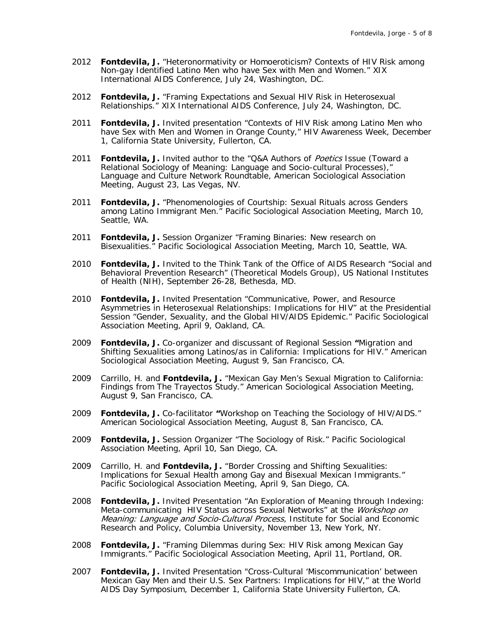- 2012 **Fontdevila, J.** "Heteronormativity or Homoeroticism? Contexts of HIV Risk among Non-gay Identified Latino Men who have Sex with Men and Women." XIX International AIDS Conference, July 24, Washington, DC.
- 2012 **Fontdevila, J.** "Framing Expectations and Sexual HIV Risk in Heterosexual Relationships." XIX International AIDS Conference, July 24, Washington, DC.
- 2011 **Fontdevila, J.** Invited presentation "Contexts of HIV Risk among Latino Men who have Sex with Men and Women in Orange County," HIV Awareness Week, December 1, California State University, Fullerton, CA.
- 2011 **Fontdevila, J.** Invited author to the "Q&A Authors of Poetics Issue (Toward a Relational Sociology of Meaning: Language and Socio-cultural Processes)," Language and Culture Network Roundtable, American Sociological Association Meeting, August 23, Las Vegas, NV.
- 2011 **Fontdevila, J.** "Phenomenologies of Courtship: Sexual Rituals across Genders among Latino Immigrant Men." Pacific Sociological Association Meeting, March 10, Seattle, WA.
- 2011 **Fontdevila, J.** Session Organizer "Framing Binaries: New research on Bisexualities." Pacific Sociological Association Meeting, March 10, Seattle, WA.
- 2010 **Fontdevila, J.** Invited to the Think Tank of the Office of AIDS Research "Social and Behavioral Prevention Research" (Theoretical Models Group), US National Institutes of Health (NIH), September 26-28, Bethesda, MD.
- 2010 **Fontdevila, J.** Invited Presentation "Communicative, Power, and Resource Asymmetries in Heterosexual Relationships: Implications for HIV" at the Presidential Session "Gender, Sexuality, and the Global HIV/AIDS Epidemic." Pacific Sociological Association Meeting, April 9, Oakland, CA.
- 2009 **Fontdevila, J.** Co-organizer and discussant of Regional Session **"**Migration and Shifting Sexualities among Latinos/as in California: Implications for HIV." American Sociological Association Meeting, August 9, San Francisco, CA.
- 2009 Carrillo, H. and **Fontdevila, J.** "Mexican Gay Men's Sexual Migration to California: Findings from The Trayectos Study." American Sociological Association Meeting, August 9, San Francisco, CA.
- 2009 **Fontdevila, J.** Co-facilitator **"**Workshop on Teaching the Sociology of HIV/AIDS." American Sociological Association Meeting, August 8, San Francisco, CA.
- 2009 **Fontdevila, J.** Session Organizer "The Sociology of Risk." Pacific Sociological Association Meeting, April 10, San Diego, CA.
- 2009 Carrillo, H. and **Fontdevila, J.** "Border Crossing and Shifting Sexualities: Implications for Sexual Health among Gay and Bisexual Mexican Immigrants." Pacific Sociological Association Meeting, April 9, San Diego, CA.
- 2008 **Fontdevila, J.** Invited Presentation "An Exploration of Meaning through Indexing: Meta-communicating HIV Status across Sexual Networks" at the Workshop on Meaning: Language and Socio-Cultural Process, Institute for Social and Economic Research and Policy, Columbia University, November 13, New York, NY.
- 2008 **Fontdevila, J.** "Framing Dilemmas during Sex: HIV Risk among Mexican Gay Immigrants." Pacific Sociological Association Meeting, April 11, Portland, OR.
- 2007 **Fontdevila, J.** Invited Presentation "Cross-Cultural 'Miscommunication' between Mexican Gay Men and their U.S. Sex Partners: Implications for HIV," at the World AIDS Day Symposium, December 1, California State University Fullerton, CA.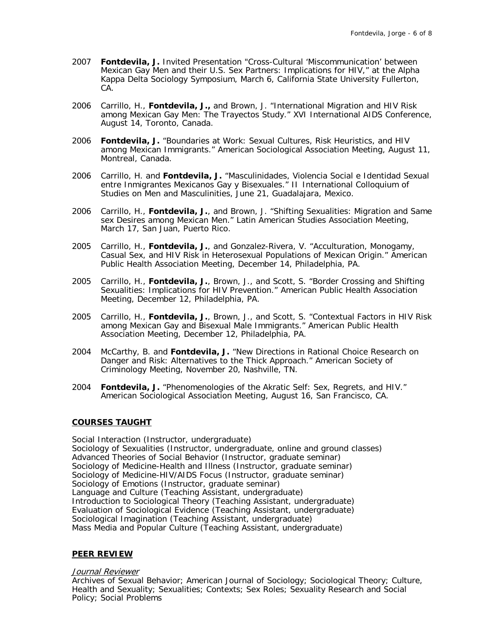- 2007 **Fontdevila, J.** Invited Presentation "Cross-Cultural 'Miscommunication' between Mexican Gay Men and their U.S. Sex Partners: Implications for HIV," at the Alpha Kappa Delta Sociology Symposium, March 6, California State University Fullerton, CA.
- 2006 Carrillo, H., **Fontdevila, J.,** and Brown, J. "International Migration and HIV Risk among Mexican Gay Men: The Trayectos Study." XVI International AIDS Conference, August 14, Toronto, Canada.
- 2006 **Fontdevila, J.** "Boundaries at Work: Sexual Cultures, Risk Heuristics, and HIV among Mexican Immigrants." American Sociological Association Meeting, August 11, Montreal, Canada.
- 2006 Carrillo, H. and **Fontdevila, J.** "Masculinidades, Violencia Social e Identidad Sexual entre Inmigrantes Mexicanos Gay y Bisexuales." II International Colloquium of Studies on Men and Masculinities, June 21, Guadalajara, Mexico.
- 2006 Carrillo, H., **Fontdevila, J.**, and Brown, J. "Shifting Sexualities: Migration and Same sex Desires among Mexican Men." Latin American Studies Association Meeting, March 17, San Juan, Puerto Rico.
- 2005 Carrillo, H., **Fontdevila, J.**, and Gonzalez-Rivera, V. "Acculturation, Monogamy, Casual Sex, and HIV Risk in Heterosexual Populations of Mexican Origin." American Public Health Association Meeting, December 14, Philadelphia, PA.
- 2005 Carrillo, H., **Fontdevila, J.**, Brown, J., and Scott, S. "Border Crossing and Shifting Sexualities: Implications for HIV Prevention." American Public Health Association Meeting, December 12, Philadelphia, PA.
- 2005 Carrillo, H., **Fontdevila, J.**, Brown, J., and Scott, S. "Contextual Factors in HIV Risk among Mexican Gay and Bisexual Male Immigrants." American Public Health Association Meeting, December 12, Philadelphia, PA.
- 2004 McCarthy, B. and **Fontdevila, J.** "New Directions in Rational Choice Research on Danger and Risk: Alternatives to the Thick Approach." American Society of Criminology Meeting, November 20, Nashville, TN.
- 2004 **Fontdevila, J.** "Phenomenologies of the Akratic Self: Sex, Regrets, and HIV." American Sociological Association Meeting, August 16, San Francisco, CA.

## **COURSES TAUGHT**

Social Interaction (Instructor, undergraduate) Sociology of Sexualities (Instructor, undergraduate, online and ground classes) Advanced Theories of Social Behavior (Instructor, graduate seminar) Sociology of Medicine-Health and Illness (Instructor, graduate seminar) Sociology of Medicine-HIV/AIDS Focus (Instructor, graduate seminar) Sociology of Emotions (Instructor, graduate seminar) Language and Culture (Teaching Assistant, undergraduate) Introduction to Sociological Theory (Teaching Assistant, undergraduate) Evaluation of Sociological Evidence (Teaching Assistant, undergraduate) Sociological Imagination (Teaching Assistant, undergraduate) Mass Media and Popular Culture (Teaching Assistant, undergraduate)

## **PEER REVIEW**

### Journal Reviewer

Archives of Sexual Behavior; American Journal of Sociology; Sociological Theory; Culture, Health and Sexuality; Sexualities; Contexts; Sex Roles; Sexuality Research and Social Policy; Social Problems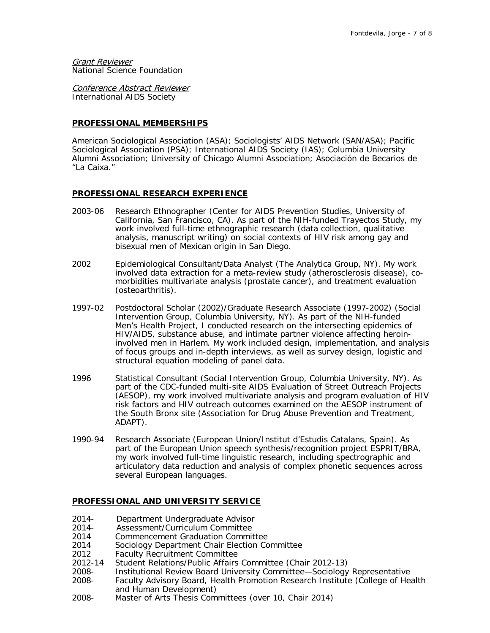**Grant Reviewer** National Science Foundation

Conference Abstract Reviewer International AIDS Society

# **PROFESSIONAL MEMBERSHIPS**

American Sociological Association (ASA); Sociologists' AIDS Network (SAN/ASA); Pacific Sociological Association (PSA); International AIDS Society (IAS); Columbia University Alumni Association; University of Chicago Alumni Association; Asociación de Becarios de "La Caixa."

## **PROFESSIONAL RESEARCH EXPERIENCE**

- 2003-06 Research Ethnographer (Center for AIDS Prevention Studies, University of California, San Francisco, CA). As part of the NIH-funded Trayectos Study, my work involved full-time ethnographic research (data collection, qualitative analysis, manuscript writing) on social contexts of HIV risk among gay and bisexual men of Mexican origin in San Diego.
- 2002 Epidemiological Consultant/Data Analyst (The Analytica Group, NY). My work involved data extraction for a meta-review study (atherosclerosis disease), comorbidities multivariate analysis (prostate cancer), and treatment evaluation (osteoarthritis).
- 1997-02 Postdoctoral Scholar (2002)/Graduate Research Associate (1997-2002) (Social Intervention Group, Columbia University, NY). As part of the NIH-funded Men's Health Project, I conducted research on the intersecting epidemics of HIV/AIDS, substance abuse, and intimate partner violence affecting heroininvolved men in Harlem. My work included design, implementation, and analysis of focus groups and in-depth interviews, as well as survey design, logistic and structural equation modeling of panel data.
- 1996 Statistical Consultant (Social Intervention Group, Columbia University, NY). As part of the CDC-funded multi-site AIDS Evaluation of Street Outreach Projects (AESOP), my work involved multivariate analysis and program evaluation of HIV risk factors and HIV outreach outcomes examined on the AESOP instrument of the South Bronx site (Association for Drug Abuse Prevention and Treatment, ADAPT).
- 1990-94 Research Associate (European Union/Institut d'Estudis Catalans, Spain). As part of the European Union speech synthesis/recognition project ESPRIT/BRA, my work involved full-time linguistic research, including spectrographic and articulatory data reduction and analysis of complex phonetic sequences across several European languages.

# **PROFESSIONAL AND UNIVERSITY SERVICE**

- 2014- Department Undergraduate Advisor
- 2014- Assessment/Curriculum Committee
- 2014 Commencement Graduation Committee<br>2014 Sociology Department Chair Flection Co
- Sociology Department Chair Election Committee
- 2012 Faculty Recruitment Committee
- 2012-14 Student Relations/Public Affairs Committee (Chair 2012-13)
- 2008- Institutional Review Board University Committee—Sociology Representative 2008- Faculty Advisory Board, Health Promotion Research Institute (College of Health and Human Development)
- 2008- Master of Arts Thesis Committees (over 10, Chair 2014)